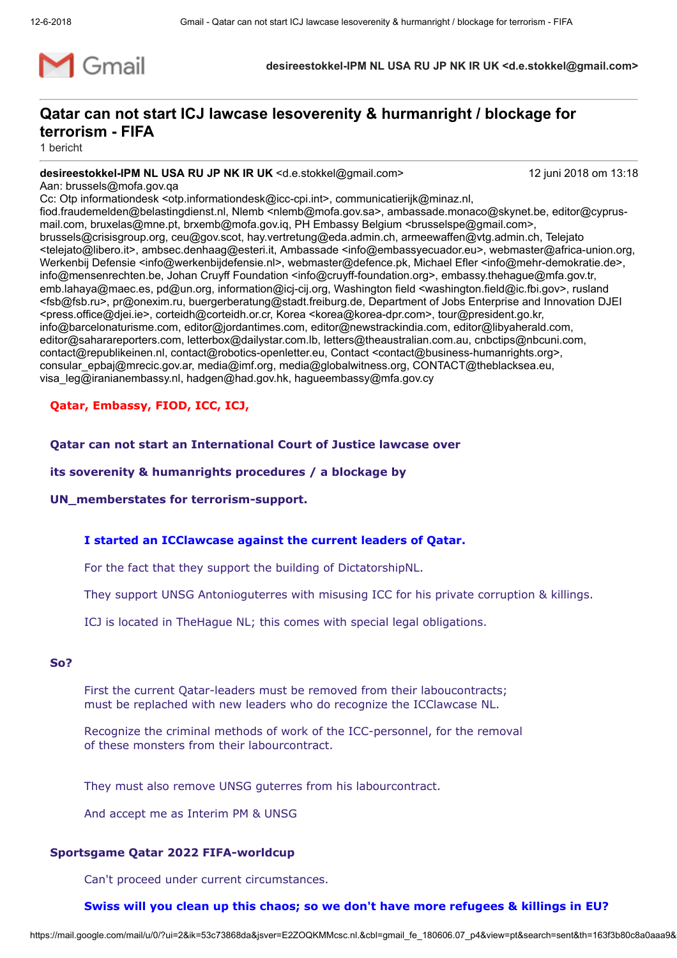

desireestokkel-IPM NL USA RU JP NK IR UK <d.e.stokkel@gmail.com>

# Qatar can not start ICJ lawcase lesoverenity & hurmanright / blockage for terrorism - FIFA

1 bericht

## desireestokkel-IPM NL USA RU JP NK IR UK <d.e.stokkel@gmail.com> 12 juni 2018 om 13:18

Aan: brussels@mofa.gov.qa

Cc: Otp informationdesk <otp.informationdesk@icc-cpi.int>, communicatierijk@minaz.nl, fiod.fraudemelden@belastingdienst.nl, Nlemb <nlemb@mofa.gov.sa>, ambassade.monaco@skynet.be, editor@cyprus-

mail.com, bruxelas@mne.pt, brxemb@mofa.gov.iq, PH Embassy Belgium <br/>brusselspe@gmail.com>, brussels@crisisgroup.org, ceu@gov.scot, hay.vertretung@eda.admin.ch, armeewaffen@vtg.admin.ch, Telejato <telejato@libero.it>, ambsec.denhaag@esteri.it, Ambassade <info@embassyecuador.eu>, webmaster@africa-union.org, Werkenbij Defensie <info@werkenbijdefensie.nl>, webmaster@defence.pk, Michael Efler <info@mehr-demokratie.de>, info@mensenrechten.be, Johan Cruyff Foundation <info@cruyff-foundation.org>, embassy.thehague@mfa.gov.tr, emb.lahaya@maec.es, pd@un.org, information@icj-cij.org, Washington field <washington.field@ic.fbi.gov>, rusland <fsb@fsb.ru>, pr@onexim.ru, buergerberatung@stadt.freiburg.de, Department of Jobs Enterprise and Innovation DJEI <press.office@djei.ie>, corteidh@corteidh.or.cr, Korea <korea@korea-dpr.com>, tour@president.go.kr, info@barcelonaturisme.com, editor@jordantimes.com, editor@newstrackindia.com, editor@libyaherald.com, editor@saharareporters.com, letterbox@dailystar.com.lb, letters@theaustralian.com.au, cnbctips@nbcuni.com, contact@republikeinen.nl, contact@robotics-openletter.eu, Contact <contact@business-humanrights.org>, consular\_epbaj@mrecic.gov.ar, media@imf.org, media@globalwitness.org, CONTACT@theblacksea.eu, visa\_leg@iranianembassy.nl, hadgen@had.gov.hk, hagueembassy@mfa.gov.cy

## Qatar, Embassy, FIOD, ICC, ICJ,

Qatar can not start an International Court of Justice lawcase over

its soverenity & humanrights procedures / a blockage by

UN\_memberstates for terrorism-support.

## I started an ICClawcase against the current leaders of Qatar.

For the fact that they support the building of DictatorshipNL.

They support UNSG Antonioguterres with misusing ICC for his private corruption & killings.

ICJ is located in TheHague NL; this comes with special legal obligations.

## So?

First the current Qatar-leaders must be removed from their laboucontracts; must be replached with new leaders who do recognize the ICClawcase NL.

Recognize the criminal methods of work of the ICC-personnel, for the removal of these monsters from their labourcontract.

They must also remove UNSG guterres from his labourcontract.

And accept me as Interim PM & UNSG

## Sportsgame Qatar 2022 FIFA-worldcup

Can't proceed under current circumstances.

## Swiss will you clean up this chaos; so we don't have more refugees & killings in EU?